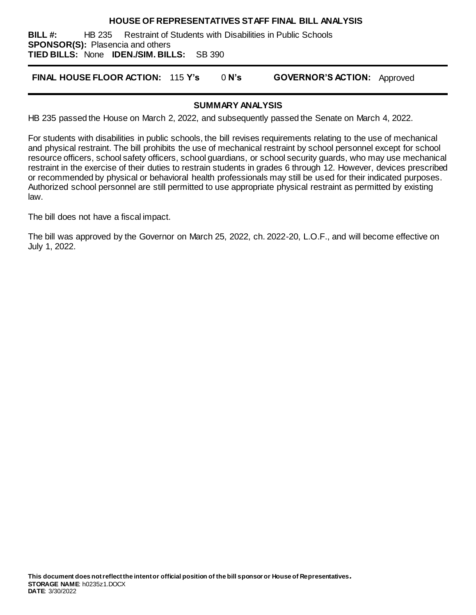#### **HOUSE OF REPRESENTATIVES STAFF FINAL BILL ANALYSIS**

**BILL #:** HB 235 Restraint of Students with Disabilities in Public Schools **SPONSOR(S):** Plasencia and others **TIED BILLS:** None **IDEN./SIM. BILLS:** SB 390

**FINAL HOUSE FLOOR ACTION:** 115 **Y's** 0 **N's GOVERNOR'S ACTION:** Approved

#### **SUMMARY ANALYSIS**

HB 235 passed the House on March 2, 2022, and subsequently passed the Senate on March 4, 2022.

For students with disabilities in public schools, the bill revises requirements relating to the use of mechanical and physical restraint. The bill prohibits the use of mechanical restraint by school personnel except for school resource officers, school safety officers, school guardians, or school security guards, who may use mechanical restraint in the exercise of their duties to restrain students in grades 6 through 12. However, devices prescribed or recommended by physical or behavioral health professionals may still be used for their indicated purposes. Authorized school personnel are still permitted to use appropriate physical restraint as permitted by existing law.

The bill does not have a fiscal impact.

The bill was approved by the Governor on March 25, 2022, ch. 2022-20, L.O.F., and will become effective on July 1, 2022.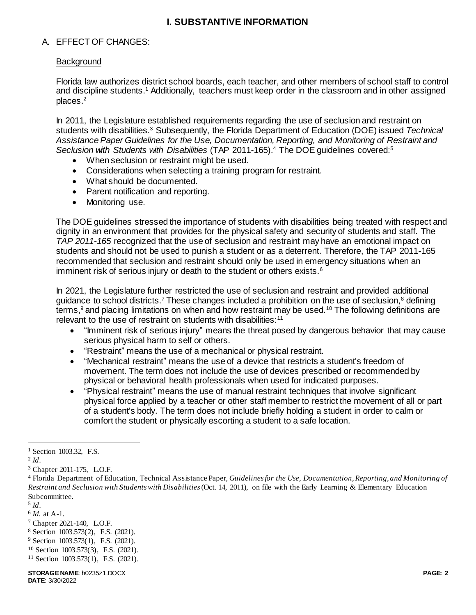## **I. SUBSTANTIVE INFORMATION**

## A. EFFECT OF CHANGES:

### **Background**

Florida law authorizes district school boards, each teacher, and other members of school staff to control and discipline students. <sup>1</sup> Additionally, teachers must keep order in the classroom and in other assigned places.<sup>2</sup>

In 2011, the Legislature established requirements regarding the use of seclusion and restraint on students with disabilities.<sup>3</sup> Subsequently, the Florida Department of Education (DOE) issued *Technical Assistance Paper Guidelines for the Use, Documentation, Reporting, and Monitoring of Restraint and*  Seclusion with Students with Disabilities (TAP 2011-165).<sup>4</sup> The DOE guidelines covered:<sup>5</sup>

- When seclusion or restraint might be used.
- Considerations when selecting a training program for restraint.
- What should be documented.
- Parent notification and reporting.
- Monitoring use.

The DOE guidelines stressed the importance of students with disabilities being treated with respect and dignity in an environment that provides for the physical safety and security of students and staff. The *TAP 2011-165* recognized that the use of seclusion and restraint may have an emotional impact on students and should not be used to punish a student or as a deterrent. Therefore, the TAP 2011-165 recommended that seclusion and restraint should only be used in emergency situations when an imminent risk of serious injury or death to the student or others exists.<sup>6</sup>

In 2021, the Legislature further restricted the use of seclusion and restraint and provided additional guidance to school districts.<sup>7</sup> These changes included a prohibition on the use of seclusion,<sup>8</sup> defining terms,<sup>9</sup> and placing limitations on when and how restraint may be used.<sup>10</sup> The following definitions are relevant to the use of restraint on students with disabilities:<sup>11</sup>

- "Imminent risk of serious injury" means the threat posed by dangerous behavior that may cause serious physical harm to self or others.
- "Restraint" means the use of a mechanical or physical restraint.
- "Mechanical restraint" means the use of a device that restricts a student's freedom of movement. The term does not include the use of devices prescribed or recommended by physical or behavioral health professionals when used for indicated purposes.
- "Physical restraint" means the use of manual restraint techniques that involve significant physical force applied by a teacher or other staff member to restrict the movement of all or part of a student's body. The term does not include briefly holding a student in order to calm or comfort the student or physically escorting a student to a safe location.

 $\overline{a}$ 

<sup>9</sup> Section 1003.573(1), F.S. (2021).

<sup>&</sup>lt;sup>1</sup> Section 1003.32, F.S.

<sup>2</sup> *Id*.

<sup>3</sup> Chapter 2011-175, L.O.F.

<sup>4</sup> Florida Department of Education, Technical Assistance Paper, *Guidelines for the Use, Documentation, Reporting, and Monitoring of Restraint and Seclusion with Students with Disabilities*(Oct. 14, 2011), on file with the Early Learning & Elementary Education Subcommittee.

<sup>5</sup> *Id*.

<sup>6</sup> *Id.* at A-1.

<sup>7</sup> Chapter 2021-140, L.O.F.

<sup>8</sup> Section 1003.573(2), F.S. (2021).

<sup>10</sup> Section 1003.573(3), F.S. (2021).

<sup>11</sup> Section 1003.573(1), F.S. (2021).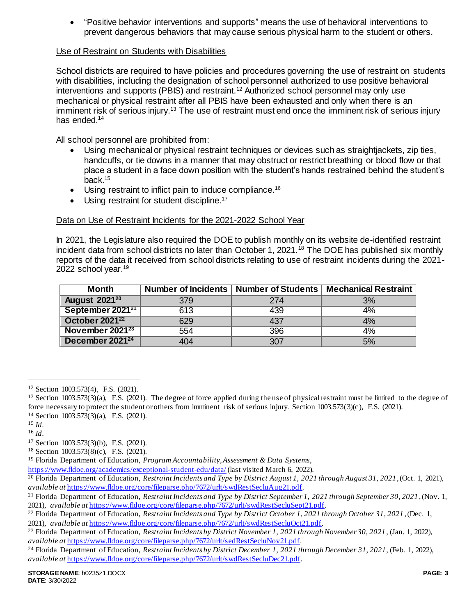"Positive behavior interventions and supports" means the use of behavioral interventions to prevent dangerous behaviors that may cause serious physical harm to the student or others.

### Use of Restraint on Students with Disabilities

School districts are required to have policies and procedures governing the use of restraint on students with disabilities, including the designation of school personnel authorized to use positive behavioral interventions and supports (PBIS) and restraint.<sup>12</sup> Authorized school personnel may only use mechanical or physical restraint after all PBIS have been exhausted and only when there is an imminent risk of serious injury.<sup>13</sup> The use of restraint must end once the imminent risk of serious injury has ended.<sup>14</sup>

All school personnel are prohibited from:

- Using mechanical or physical restraint techniques or devices such as straightjackets, zip ties, handcuffs, or tie downs in a manner that may obstruct or restrict breathing or blood flow or that place a student in a face down position with the student's hands restrained behind the student's back.<sup>15</sup>
- Using restraint to inflict pain to induce compliance.<sup>16</sup>
- Using restraint for student discipline.<sup>17</sup>

# Data on Use of Restraint Incidents for the 2021-2022 School Year

In 2021, the Legislature also required the DOE to publish monthly on its website de-identified restraint incident data from school districts no later than October 1, 2021.<sup>18</sup> The DOE has published six monthly reports of the data it received from school districts relating to use of restraint incidents during the 2021- 2022 school year.<sup>19</sup>

| Month                        |     |     | Number of Incidents   Number of Students   Mechanical Restraint |
|------------------------------|-----|-----|-----------------------------------------------------------------|
| <b>August 202120</b>         | 379 | 274 | 3%                                                              |
| September 2021 <sup>21</sup> | 613 | 439 | 4%                                                              |
| October 2021 <sup>22</sup>   | 629 | 437 | 4%                                                              |
| November 2021 <sup>23</sup>  | 554 | 396 | 4%                                                              |
| December 2021 <sup>24</sup>  | 404 | 307 | 5%                                                              |

 $\overline{a}$ 

<sup>12</sup> Section 1003.573(4), F.S. (2021).

<sup>&</sup>lt;sup>13</sup> Section 1003.573(3)(a), F.S. (2021). The degree of force applied during the use of physical restraint must be limited to the degree of force necessary to protect the student or others from imminent risk of serious injury. Section 1003.573(3)(c), F.S. (2021).

<sup>14</sup> Section 1003.573(3)(a), F.S. (2021).

 $^{15}$  *Id*.

<sup>16</sup> *Id*.

<sup>17</sup> Section 1003.573(3)(b), F.S. (2021).

<sup>18</sup> Section 1003.573(8)(c), F.S. (2021).

<sup>19</sup> Florida Department of Education, *Program Accountability, Assessment & Data Systems*,

<https://www.fldoe.org/academics/exceptional-student-edu/data/> (last visited March 6, 2022).

<sup>20</sup> Florida Department of Education, *Restraint Incidents and Type by District August 1, 2021 through August 31, 2021*, (Oct. 1, 2021), *available at* [https://www.fldoe.org/core/fileparse.php/7672/urlt/swdRestSecluAug21.pdf.](https://www.fldoe.org/core/fileparse.php/7672/urlt/swdRestSecluAug21.pdf)

<sup>21</sup> Florida Department of Education, *Restraint Incidents and Type by District September 1, 2021 through September 30, 2021* , (Nov. 1, 2021), *available at* [https://www.fldoe.org/core/fileparse.php/7672/urlt/swdRestSecluSept21.pdf.](https://www.fldoe.org/core/fileparse.php/7672/urlt/swdRestSecluSept21.pdf) 

<sup>22</sup> Florida Department of Education, *Restraint Incidents and Type by District October 1, 2021 through October 31, 2021* , (Dec. 1, 2021), *available at* [https://www.fldoe.org/core/fileparse.php/7672/urlt/swdRestSecluOct21.pdf.](https://www.fldoe.org/core/fileparse.php/7672/urlt/swdRestSecluOct21.pdf) 

<sup>23</sup> Florida Department of Education, *Restraint Incidents by District November 1, 2021 through November 30, 2021* , (Jan. 1, 2022), *available at* [https://www.fldoe.org/core/fileparse.php/7672/urlt/sedRestSecluNov21.pdf.](https://www.fldoe.org/core/fileparse.php/7672/urlt/sedRestSecluNov21.pdf) 

<sup>24</sup> Florida Department of Education, *Restraint Incidents by District December 1, 2021 through December 31, 2021*, (Feb. 1, 2022), *available at* [https://www.fldoe.org/core/fileparse.php/7672/urlt/swdRestSecluDec21.pdf.](https://www.fldoe.org/core/fileparse.php/7672/urlt/swdRestSecluDec21.pdf)